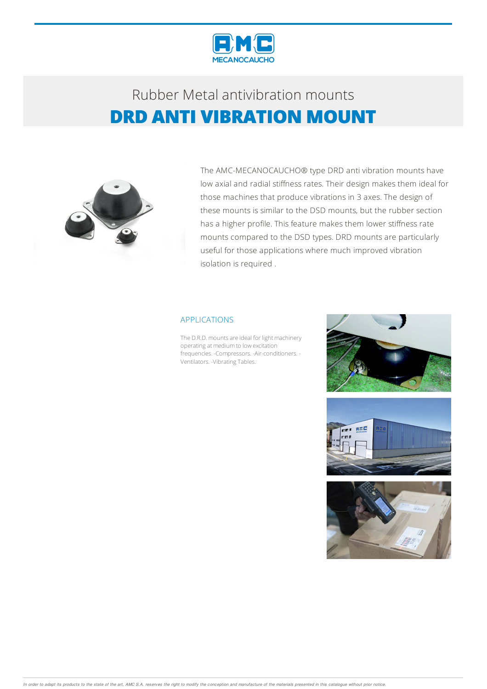

## Rubber Metalantivibration mounts **DRD ANTI VIBRATION MOUNT**



The AMC-MECANOCAUCHO® type DRD anti vibration mounts have low axial and radial stiffness rates. Their design makes them ideal for those machines that produce vibrations in 3 axes. The design of these mounts is similar to the DSD mounts, but the rubber section has a higher profile. This feature makes them lower stiffness rate mounts compared to the DSD types. DRD mounts are particularly useful for those applications where much improved vibration isolation is required .

#### APPLICATIONS

The D.R.D. mounts are ideal for light machinery operating at medium to low excitation frequencies. -Compressors. -Air-conditioners. - Ventilators. - Vibrating Tables.





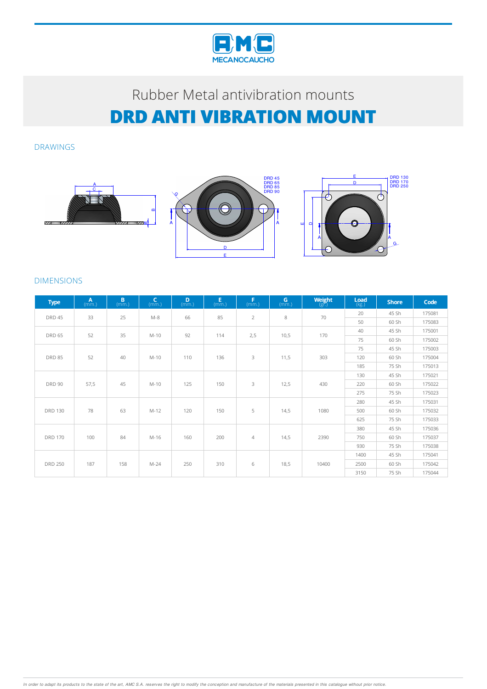

# Rubber Metal antivibration mounts **DRD ANTI VIBRATION MOUNT**

DRAWINGS



### DIMENSIONS

| <b>Type</b>    | $A$ <sub>(mm.)</sub> | B<br>(mm.) | $\mathsf{C}$<br>(mm.) | D<br>(mm.) | $E$ <sub>(mm.)</sub> | F<br>(mm.)     | $\mathbf{G}$ <sub>(mm.)</sub> | $\underset{\left(\mathrm{gr.}\right)}{\mathsf{Weight}}$ | Load<br>(kg.) | <b>Shore</b> | Code   |
|----------------|----------------------|------------|-----------------------|------------|----------------------|----------------|-------------------------------|---------------------------------------------------------|---------------|--------------|--------|
| <b>DRD 45</b>  | 33                   | 25         | $M-8$                 | 66         | 85                   | $\overline{2}$ | 8                             | 70                                                      | 20            | 45 Sh        | 175081 |
|                |                      |            |                       |            |                      |                |                               |                                                         | 50            | 60 Sh        | 175083 |
| <b>DRD 65</b>  | 52                   | 35         | $M-10$                | 92         | 114                  | 2,5            | 10,5                          | 170                                                     | 40            | 45 Sh        | 175001 |
|                |                      |            |                       |            |                      |                |                               |                                                         | 75            | 60 Sh        | 175002 |
| <b>DRD 85</b>  | 52                   | 40         | $M-10$                | 110        | 136                  | 3              | 11,5                          | 303                                                     | 75            | 45 Sh        | 175003 |
|                |                      |            |                       |            |                      |                |                               |                                                         | 120           | 60 Sh        | 175004 |
|                |                      |            |                       |            |                      |                |                               |                                                         | 185           | 75 Sh        | 175013 |
| <b>DRD 90</b>  | 57,5                 | 45         | $M-10$                | 125        | 150                  | 3              | 12,5                          | 430                                                     | 130           | 45 Sh        | 175021 |
|                |                      |            |                       |            |                      |                |                               |                                                         | 220           | 60 Sh        | 175022 |
|                |                      |            |                       |            |                      |                |                               |                                                         | 275           | 75 Sh        | 175023 |
| <b>DRD 130</b> | 78                   | 63         | $M-12$                | 120        | 150                  | 5              | 14,5                          | 1080                                                    | 280           | 45 Sh        | 175031 |
|                |                      |            |                       |            |                      |                |                               |                                                         | 500           | 60 Sh        | 175032 |
|                |                      |            |                       |            |                      |                |                               |                                                         | 625           | 75 Sh        | 175033 |
| <b>DRD 170</b> | 100                  | 84         | M-16                  | 160        | 200                  | $\overline{4}$ | 14,5                          | 2390                                                    | 380           | 45 Sh        | 175036 |
|                |                      |            |                       |            |                      |                |                               |                                                         | 750           | 60 Sh        | 175037 |
|                |                      |            |                       |            |                      |                |                               |                                                         | 930           | 75 Sh        | 175038 |
| <b>DRD 250</b> | 187                  | 158        | $M-24$                | 250        | 310                  | 6              | 18,5                          | 10400                                                   | 1400          | 45 Sh        | 175041 |
|                |                      |            |                       |            |                      |                |                               |                                                         | 2500          | 60 Sh        | 175042 |
|                |                      |            |                       |            |                      |                |                               |                                                         | 3150          | 75 Sh        | 175044 |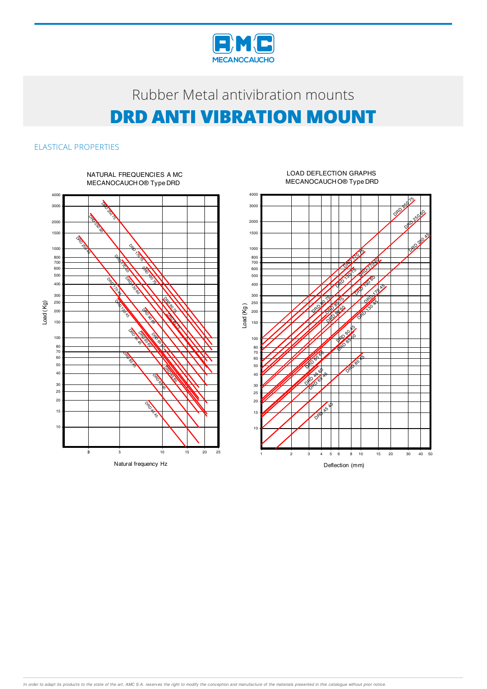

# Rubber Metal antivibration mounts **DRD ANTI VIBRATION MOUNT**

### ELASTICAL PROPERTIES



#### LOAD DEFLECTION GRAPHS MECANOCAUCHO® Type DRD